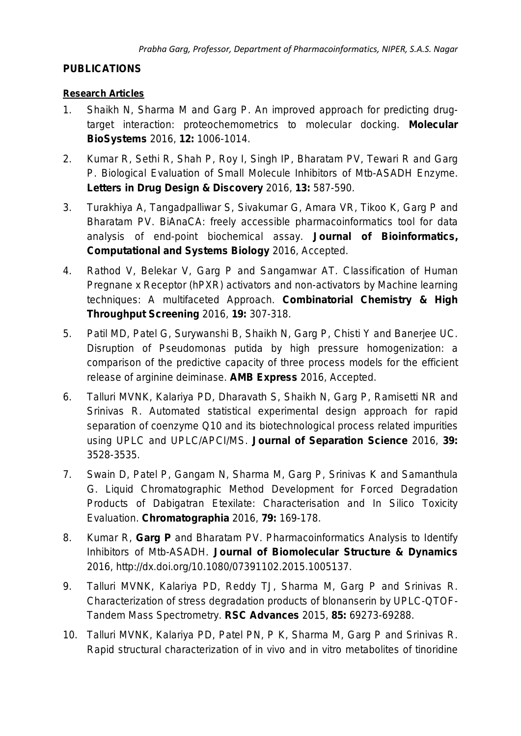## **PUBLICATIONS**

### **Research Articles**

- 1. Shaikh N, Sharma M and Garg P. [An improved approach for predicting drug](http://pubs.rsc.org/en/content/articlepdf/2014/MB/C5MB00650C?page=search)[target interaction: proteochemometrics to molecular docking.](http://pubs.rsc.org/en/content/articlepdf/2014/MB/C5MB00650C?page=search) *Molecular BioSystems* 2016, **12:** 1006-1014.
- 2. Kumar R, Sethi R, Shah P, Roy I, Singh IP, Bharatam PV, Tewari R and Garg P. [Biological Evaluation of Small Molecule Inhibitors of Mtb-ASADH Enzyme.](http://benthamscience.com/journals/letters-in-drug-design-and-discovery/volume/13/issue/7/page/587/) *Letters in Drug Design & Discovery* 2016, **13:** 587-590.
- 3. Turakhiya A, Tangadpalliwar S, Sivakumar G, Amara VR, Tikoo K, Garg P and Bharatam PV. [BiAnaCA: freely accessible pharmacoinformatics tool for data](http://www.elynsgroup.com/journal/article/bianaca-a-freely-accessible-tool-for-data-analysis-of-end-point-biochemical-assay)  [analysis of end-point biochemical assay.](http://www.elynsgroup.com/journal/article/bianaca-a-freely-accessible-tool-for-data-analysis-of-end-point-biochemical-assay) *Journal of Bioinformatics, Computational and Systems Biology* 2016, Accepted.
- 4. Rathod V, Belekar V, Garg P and Sangamwar AT. [Classification of Human](http://benthamscience.com/journals/combinatorial-chemistry-and-high-throughput-screening/article/140446/)  Pregnane [x Receptor \(hPXR\) activators and non-activators by Machine learning](http://benthamscience.com/journals/combinatorial-chemistry-and-high-throughput-screening/article/140446/)  [techniques: A multifaceted Approach.](http://benthamscience.com/journals/combinatorial-chemistry-and-high-throughput-screening/article/140446/) *Combinatorial Chemistry & High Throughput Screening* 2016, **19:** 307-318.
- 5. Patil MD, Patel G, Surywanshi B, Shaikh N, Garg P, Chisti Y and Banerjee UC. [Disruption of Pseudomonas putida by high pressure homogenization: a](http://link.springer.com/article/10.1186/s13568-016-0260-6)  [comparison of the predictive capacity of three process models for the efficient](http://link.springer.com/article/10.1186/s13568-016-0260-6)  [release of arginine deiminase.](http://link.springer.com/article/10.1186/s13568-016-0260-6) *AMB Express* 2016, Accepted.
- 6. Talluri MVNK, Kalariya PD, Dharavath S, Shaikh N, Garg P, Ramisetti NR and Srinivas R. [Automated statistical experimental design approach for](http://onlinelibrary.wiley.com/doi/10.1002/jssc.201501405/full#references) rapid [separation of coenzyme Q10 and its biotechnological process related impurities](http://onlinelibrary.wiley.com/doi/10.1002/jssc.201501405/full#references)  [using UPLC and UPLC/APCI/MS.](http://onlinelibrary.wiley.com/doi/10.1002/jssc.201501405/full#references) *Journal of Separation Science* 2016, **39:** 3528-3535.
- 7. Swain D, Patel P, Gangam N, Sharma M, Garg P, Srinivas K and Samanthula G. [Liquid Chromatographic Method Development for Forced Degradation](http://link.springer.com/article/10.1007%2Fs10337-015-3009-5)  [Products of Dabigatran Etexilate: Characterisation and In Silico Toxicity](http://link.springer.com/article/10.1007%2Fs10337-015-3009-5)  [Evaluation.](http://link.springer.com/article/10.1007%2Fs10337-015-3009-5) *Chromatographia* 2016, **79:** 169-178.
- 8. Kumar R, **Garg P** and Bharatam PV. [Pharmacoinformatics Analysis to Identify](http://www.tandfonline.com/doi/abs/10.1080/07391102.2015.1005137#.VLSb1Xv-vW8)  [Inhibitors of Mtb-ASADH.](http://www.tandfonline.com/doi/abs/10.1080/07391102.2015.1005137#.VLSb1Xv-vW8) *Journal of Biomolecular Structure & Dynamics* 2016, http://dx.doi.org/10.1080/07391102.2015.1005137.
- 9. Talluri MVNK, Kalariya PD, Reddy TJ, Sharma M, Garg P and Srinivas R. [Characterization of stress degradation products of blonanserin by UPLC-QTOF-](http://pubs.rsc.org/en/content/articlelanding/2015/ra/c5ra10641a#!divAbstract)[Tandem Mass Spectrometry.](http://pubs.rsc.org/en/content/articlelanding/2015/ra/c5ra10641a#!divAbstract) *RSC Advances* 2015, **85:** 69273-69288.
- 10. Talluri MVNK, Kalariya PD, Patel PN, P K, Sharma M, Garg P and Srinivas R. [Rapid structural characterization of in vivo and in vitro metabolites of tinoridine](http://onlinelibrary.wiley.com/doi/10.1002/jms.3640/abstract)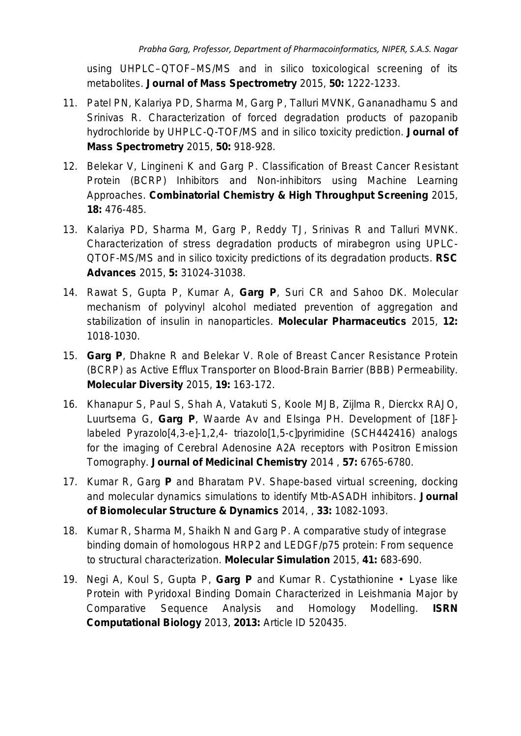using UHPLC–QTOF–MS/MS and in silico toxicological screening of its metabolites. *Journal of Mass Spectrometry* 2015, **50:** 1222-1233.

- 11. Patel PN, Kalariya PD, Sharma M, Garg P, Talluri MVNK, Gananadhamu S and Srinivas R. [Characterization of forced degradation products of pazopanib](http://onlinelibrary.wiley.com/doi/10.1002/jms.3602/abstract)  [hydrochloride by UHPLC-Q-TOF/MS and](http://onlinelibrary.wiley.com/doi/10.1002/jms.3602/abstract) *in silico* toxicity prediction. *Journal of Mass Spectrometry* 2015, **50:** 918-928.
- 12. Belekar V, Lingineni K and Garg P. [Classification of Breast Cancer Resistant](http://www.ncbi.nlm.nih.gov/pubmed/26004050)  [Protein \(BCRP\) Inhibitors and Non-inhibitors using Machine Learning](http://www.ncbi.nlm.nih.gov/pubmed/26004050)  [Approaches.](http://www.ncbi.nlm.nih.gov/pubmed/26004050) *Combinatorial Chemistry & High Throughput Screening* 2015, **18:** 476-485.
- 13. Kalariya PD, Sharma M, Garg P, Reddy TJ, Srinivas R and Talluri MVNK. [Characterization of stress degradation products of mirabegron using UPLC-](http://pubs.rsc.org/en/content/articlelanding/2015/ra/c5ra01711d#!divAbstract)QTOF-MS/MS and *in silico* [toxicity predictions of its degradation products.](http://pubs.rsc.org/en/content/articlelanding/2015/ra/c5ra01711d#!divAbstract) *RSC Advances* 2015, **5:** 31024-31038.
- 14. Rawat S, Gupta P, Kumar A, **Garg P**, Suri CR and Sahoo DK. [Molecular](http://pubs.acs.org/doi/abs/10.1021/mp5003653)  [mechanism of polyvinyl alcohol mediated prevention of aggregation and](http://pubs.acs.org/doi/abs/10.1021/mp5003653)  [stabilization of insulin in nanoparticles.](http://pubs.acs.org/doi/abs/10.1021/mp5003653) *Molecular Pharmaceutics* 2015, **12:** 1018-1030.
- 15. **Garg P**, Dhakne R and Belekar V. [Role of Breast Cancer Resistance Protein](http://link.springer.com/article/10.1007/s11030-014-9562-2)  [\(BCRP\) as Active Efflux Transporter on Blood-Brain Barrier \(BBB\) Permeability.](http://link.springer.com/article/10.1007/s11030-014-9562-2) *Molecular Diversity* 2015, **19:** 163-172.
- 16. Khanapur S, Paul S, Shah A, Vatakuti S, Koole MJB, Zijlma R, Dierckx RAJO, Luurtsema G, **Garg P**, Waarde Av and Elsinga PH. [Development of \[18F\]](http://pubs.acs.org/doi/pdfplus/10.1021/jm500700y) labeled Pyrazolo[4,3-e]-1,2,4- [triazolo\[1,5-c\]pyrimidine \(SCH442416\) analogs](http://pubs.acs.org/doi/pdfplus/10.1021/jm500700y)  [for the imaging of Cerebral Adenosine A2A receptors with Positron Emission](http://pubs.acs.org/doi/pdfplus/10.1021/jm500700y)  [Tomography.](http://pubs.acs.org/doi/pdfplus/10.1021/jm500700y) *Journal of Medicinal Chemistry* 2014 , **57:** 6765-6780.
- 17. Kumar R, Garg **P** and Bharatam PV. [Shape-based virtual screening, docking](http://www.tandfonline.com/doi/abs/10.1080/07391102.2014.929535#.U9Ye_60cSos)  [and molecular dynamics simulations to identify Mtb-ASADH inhibitors.](http://www.tandfonline.com/doi/abs/10.1080/07391102.2014.929535#.U9Ye_60cSos) *Journal of Biomolecular Structure & Dynamics* 2014, , **33:** 1082-1093.
- 18. Kumar R, Sharma M, Shaikh N and Garg P. [A comparative study of integrase](http://www.tandfonline.com/doi/abs/10.1080/08927022.2014.935374#.U9Yf7q0cSos) [binding domain of homologous HRP2 and LEDGF/p75 protein: From sequence](http://www.tandfonline.com/doi/abs/10.1080/08927022.2014.935374#.U9Yf7q0cSos)  [to structural characterization.](http://www.tandfonline.com/doi/abs/10.1080/08927022.2014.935374#.U9Yf7q0cSos) *Molecular Simulation* 2015, **41:** 683-690.
- 19. Negi A, Koul S, Gupta P, **Garg P** and Kumar R. [Cystathionine Lyase like](http://www.hindawi.com/journals/isrn.computational.biology/2013/520435/abs/)  [Protein with Pyridoxal Binding Domain Characterized in Leishmania Major by](http://www.hindawi.com/journals/isrn.computational.biology/2013/520435/abs/)  [Comparative Sequence Analysis and Homology Modelling.](http://www.hindawi.com/journals/isrn.computational.biology/2013/520435/abs/) *ISRN Computational Biology* 2013, **2013:** Article ID 520435.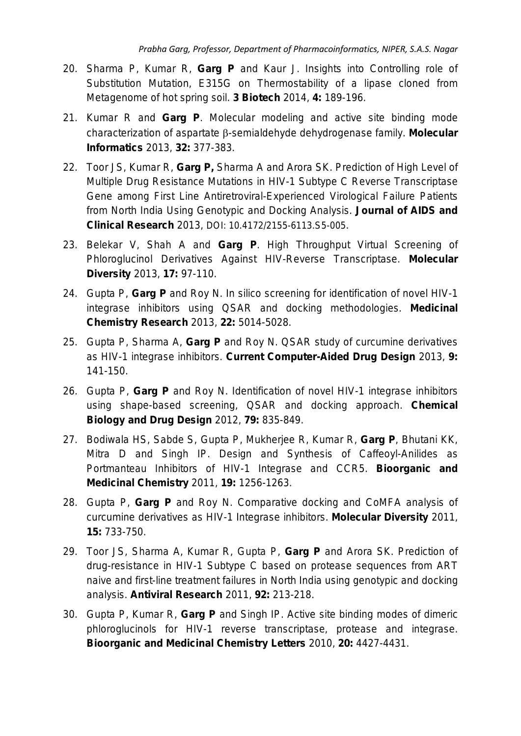- 20. Sharma P, Kumar R, **Garg P** and Kaur J. [Insights into Controlling role of](http://link.springer.com/article/10.1007/s13205-013-0142-4)  [Substitution Mutation, E315G on Thermostability of a lipase cloned from](http://link.springer.com/article/10.1007/s13205-013-0142-4)  [Metagenome of hot spring soil.](http://link.springer.com/article/10.1007/s13205-013-0142-4) *3 Biotech* 2014, **4:** 189-196.
- 21. Kumar R and **Garg P**. [Molecular modeling and active site binding mode](http://onlinelibrary.wiley.com/doi/10.1002/minf.201200128/abstract;jsessionid=829DFC87CFE0474A6D210E326BBA3E7C.f04t04?deniedAccessCustomisedMessage=&userIsAuthenticated=false)  characterization of aspartate β[-semialdehyde dehydrogenase family.](http://onlinelibrary.wiley.com/doi/10.1002/minf.201200128/abstract;jsessionid=829DFC87CFE0474A6D210E326BBA3E7C.f04t04?deniedAccessCustomisedMessage=&userIsAuthenticated=false) *Molecular Informatics* 2013, **32:** 377-383.
- 22. Toor JS, Kumar R, **Garg P,** Sharma A and Arora SK. [Prediction of High Level of](http://omicsonline.org/2155-6113/2155-6113-S5-005.pdf)  [Multiple Drug Resistance Mutations in HIV-1 Subtype C Reverse Transcriptase](http://omicsonline.org/2155-6113/2155-6113-S5-005.pdf)  [Gene among First Line Antiretroviral-Experienced Virological Failure Patients](http://omicsonline.org/2155-6113/2155-6113-S5-005.pdf)  [from North India Using Genotypic and Docking Analysis.](http://omicsonline.org/2155-6113/2155-6113-S5-005.pdf) *Journal of AIDS and Clinical Research* 2013, DOI: 10.4172/2155-6113.S5-005.
- 23. Belekar V, Shah A and **Garg P**. [High Throughput Virtual Screening of](http://link.springer.com/article/10.1007/s11030-012-9417-7)  [Phloroglucinol Derivatives Against HIV-Reverse Transcriptase.](http://link.springer.com/article/10.1007/s11030-012-9417-7) *Molecular Diversity* 2013, **17:** 97-110.
- 24. Gupta P, **Garg P** and Roy N. [In silico screening for identification of novel HIV-1](http://link.springer.com/article/10.1007/s00044-013-0490-y)  [integrase inhibitors using QSAR and docking methodologies.](http://link.springer.com/article/10.1007/s00044-013-0490-y) *Medicinal Chemistry Research* 2013, **22:** 5014-5028.
- 25. Gupta P, Sharma A, **Garg P** and Roy N. [QSAR study of curcumine derivatives](http://www.ingentaconnect.com/content/ben/cad/2013/00000009/00000001/art00013)  [as HIV-1 integrase inhibitors.](http://www.ingentaconnect.com/content/ben/cad/2013/00000009/00000001/art00013) *Current Computer-Aided Drug Design* 2013, **9:** 141-150.
- 26. Gupta P, **Garg P** and Roy N. [Identification of novel HIV-1 integrase inhibitors](http://onlinelibrary.wiley.com/doi/10.1111/j.1747-0285.2012.01326.x/full)  [using shape-based screening, QSAR and docking approach.](http://onlinelibrary.wiley.com/doi/10.1111/j.1747-0285.2012.01326.x/full) *Chemical Biology and Drug Design* 2012, **79:** 835-849.
- 27. Bodiwala HS, Sabde S, Gupta P, Mukherjee R, Kumar R, **Garg P**, Bhutani KK, Mitra D and Singh IP. [Design and Synthesis of Caffeoyl-Anilides as](http://www.sciencedirect.com/science/article/pii/S0968089610011223)  [Portmanteau Inhibitors of HIV-1 Integrase and CCR5.](http://www.sciencedirect.com/science/article/pii/S0968089610011223) *Bioorganic and Medicinal Chemistry* 2011, **19:** 1256-1263.
- 28. Gupta P, **Garg P** and Roy N. [Comparative docking and CoMFA analysis of](http://link.springer.com/article/10.1007%2Fs11030-011-9304-7)  [curcumine derivatives as HIV-1 Integrase inhibitors.](http://link.springer.com/article/10.1007%2Fs11030-011-9304-7) *Molecular Diversity* 2011, **15:** 733-750.
- 29. Toor JS, Sharma A, Kumar R, Gupta P, **Garg P** and Arora SK. [Prediction of](http://www.sciencedirect.com/science/article/pii/S0166354211003949)  [drug-resistance in HIV-1 Subtype C based on protease sequences from ART](http://www.sciencedirect.com/science/article/pii/S0166354211003949)  [naive and first-line treatment failures in North India using genotypic and docking](http://www.sciencedirect.com/science/article/pii/S0166354211003949)  [analysis.](http://www.sciencedirect.com/science/article/pii/S0166354211003949) *Antiviral Research* 2011, **92:** 213-218.
- 30. Gupta P, Kumar R, **Garg P** and Singh IP. [Active site binding modes of dimeric](http://www.sciencedirect.com/science/article/pii/S0960894X10008310)  [phloroglucinols for HIV-1 reverse transcriptase, protease and integrase.](http://www.sciencedirect.com/science/article/pii/S0960894X10008310) *Bioorganic and Medicinal Chemistry Letters* 2010, **20:** 4427-4431.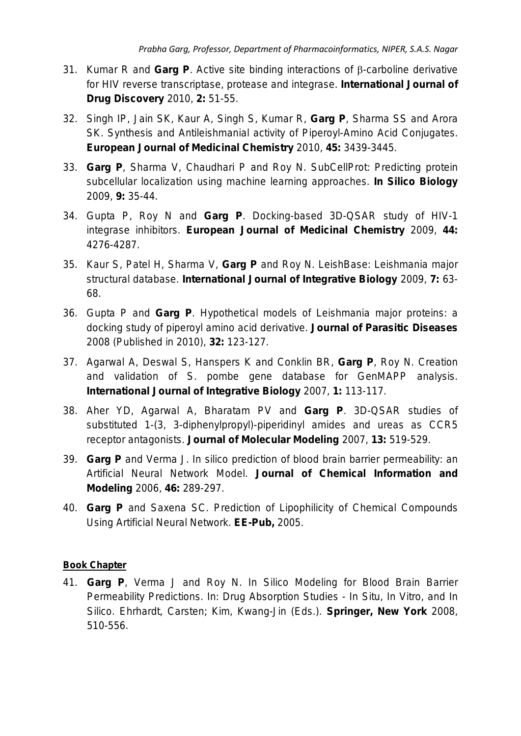- 31. Kumar R and **Garg P**. [Active site binding interactions of](http://bioinfopublication.org/files/articles/2_2_5_IJDD.pdf) β-carboline derivative [for HIV reverse transcriptase, protease and integrase.](http://bioinfopublication.org/files/articles/2_2_5_IJDD.pdf) *International Journal of Drug Discovery* 2010, **2:** 51-55.
- 32. Singh IP, Jain SK, Kaur A, Singh S, Kumar R, **Garg P**, Sharma SS and Arora SK. [Synthesis and Antileishmanial activity of Piperoyl-Amino Acid Conjugates.](http://www.sciencedirect.com/science/article/pii/S0223523410003156) *European Journal of Medicinal Chemistry* 2010, **45:** 3439-3445.
- 33. **Garg P**, Sharma V, Chaudhari P and Roy N. [SubCellProt: Predicting protein](http://www.bioinfo.de/isb/2008/09/0004/)  [subcellular localization using machine learning approaches.](http://www.bioinfo.de/isb/2008/09/0004/) *In Silico Biology* 2009, **9:** 35-44.
- 34. Gupta P, Roy N and **Garg P**. [Docking-based 3D-QSAR study of HIV-1](http://www.sciencedirect.com/science/article/pii/S0223523409003900)  [integrase inhibitors.](http://www.sciencedirect.com/science/article/pii/S0223523409003900) *European Journal of Medicinal Chemistry* 2009, **44:** 4276-4287.
- 35. Kaur S, Patel H, Sharma V, **Garg P** and Roy N. [LeishBase: Leishmania major](https://ijib.classicrus.com/trns/285161406800682.pdf)  [structural database.](https://ijib.classicrus.com/trns/285161406800682.pdf) *International Journal of Integrative Biology* 2009, **7:** 63- 68.
- 36. Gupta P and **Garg P**. Hypothetical models of *Leishmania major* proteins: a docking study of piperoyl amino acid derivative. *Journal of Parasitic Diseases* 2008 (Published in 2010), **32:** 123-127.
- 37. Agarwal A, Deswal S, Hanspers K and Conklin BR, **Garg P**, Roy N. [Creation](http://ijib.classicrus.com/trns/84891406800850.pdf)  [and validation of S. pombe gene database for GenMAPP analysis.](http://ijib.classicrus.com/trns/84891406800850.pdf) *International Journal of Integrative Biology* 2007, **1:** 113-117.
- 38. Aher YD, Agarwal A, Bharatam PV and **Garg P**. [3D-QSAR studies of](http://link.springer.com/article/10.1007/s00894-007-0173-z)  [substituted 1-\(3, 3-diphenylpropyl\)-piperidinyl amides and ureas as CCR5](http://link.springer.com/article/10.1007/s00894-007-0173-z)  [receptor antagonists.](http://link.springer.com/article/10.1007/s00894-007-0173-z) *Journal of Molecular Modeling* 2007, **13:** 519-529.
- 39. **Garg P** and Verma J. [In silico prediction of blood brain barrier permeability: an](http://pubs.acs.org/doi/abs/10.1021/ci050303i)  [Artificial Neural Network Model.](http://pubs.acs.org/doi/abs/10.1021/ci050303i) *Journal of Chemical Information and Modeling* 2006, **46:** 289-297.
- 40. **Garg P** and Saxena SC. Prediction of Lipophilicity of Chemical Compounds Using Artificial Neural Network. *EE-Pub,* 2005.

## **Book Chapter**

41. **Garg P**, Verma J and Roy N. In Silico Modeling for Blood Brain Barrier Permeability Predictions. In: Drug Absorption Studies - In Situ, In Vitro, and In Silico. Ehrhardt, Carsten; Kim, Kwang-Jin (Eds.). *Springer, New York* 2008, 510-556.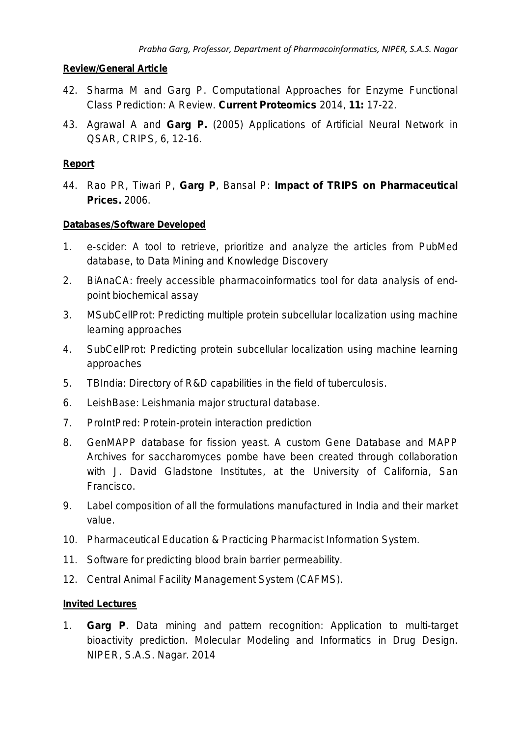## **Review/General Article**

- 42. Sharma M and Garg P. [Computational Approaches for Enzyme Functional](http://www.eurekaselect.com/121605/article)  [Class Prediction: A Review.](http://www.eurekaselect.com/121605/article) *Current Proteomics* 2014, **11:** 17-22.
- 43. Agrawal A and **Garg P.** (2005) Applications of Artificial Neural Network in QSAR, CRIPS, 6, 12-16.

## **Report**

44. Rao PR, Tiwari P, **Garg P**, Bansal P: **Impact of TRIPS on Pharmaceutical Prices.** 2006.

### **Databases/Software Developed**

- 1. e-scider: A tool to retrieve, prioritize and analyze the articles from PubMed database, to Data Mining and Knowledge Discovery
- 2. BiAnaCA: freely accessible pharmacoinformatics tool for data analysis of endpoint biochemical assay
- 3. MSubCellProt: Predicting multiple protein subcellular localization using machine learning approaches
- 4. SubCellProt: Predicting protein subcellular localization using machine learning approaches
- 5. TBIndia: Directory of R&D capabilities in the field of tuberculosis.
- 6. *Leish*Base: Leishmania major structural database.
- 7. ProIntPred: Protein-protein interaction prediction
- 8. GenMAPP database for fission yeast. A custom Gene Database and MAPP Archives for saccharomyces pombe have been created through collaboration with J. David Gladstone Institutes, at the University of California, San Francisco.
- 9. Label composition of all the formulations manufactured in India and their market value.
- 10. Pharmaceutical Education & Practicing Pharmacist Information System.
- 11. Software for predicting blood brain barrier permeability.
- 12. Central Animal Facility Management System (CAFMS).

#### **Invited Lectures**

1. **Garg P**. *Data mining and pattern recognition: Application to multi-target bioactivity prediction*. Molecular Modeling and Informatics in Drug Design. NIPER, S.A.S. Nagar. 2014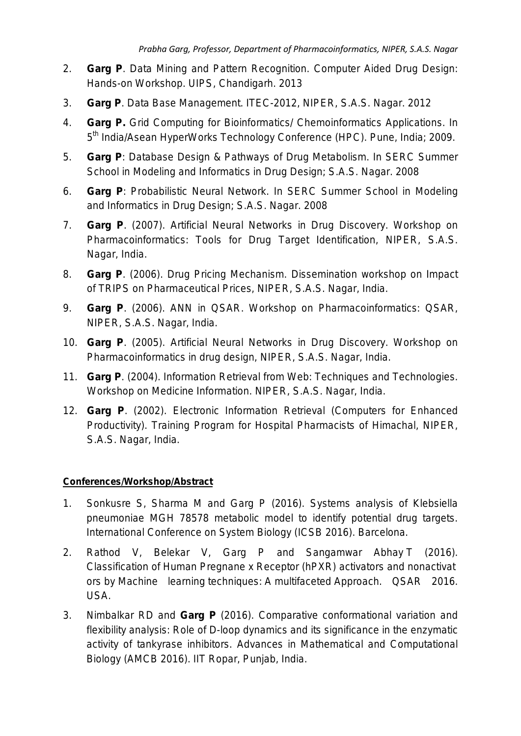- 2. **Garg P**. *Data Mining and Pattern Recognition*. Computer Aided Drug Design: Hands-on Workshop. UIPS, Chandigarh. 2013
- 3. **Garg P**. *Data Base Management*. ITEC-2012, NIPER, S.A.S. Nagar. 2012
- 4. **Garg P.** Grid Computing for Bioinformatics/ Chemoinformatics Applications. In 5<sup>th</sup> India/Asean HyperWorks Technology Conference (HPC). Pune, India; 2009.
- 5. **Garg P**: Database Design & Pathways of Drug Metabolism. In SERC Summer School in Modeling and Informatics in Drug Design; S.A.S. Nagar. 2008
- 6. **Garg P**: Probabilistic Neural Network. In SERC Summer School in Modeling and Informatics in Drug Design; S.A.S. Nagar. 2008
- 7. **Garg P**. (2007). Artificial Neural Networks in Drug Discovery. Workshop on Pharmacoinformatics: Tools for Drug Target Identification, NIPER, S.A.S. Nagar, India.
- 8. **Garg P**. (2006). Drug Pricing Mechanism. Dissemination workshop on Impact of TRIPS on Pharmaceutical Prices, NIPER, S.A.S. Nagar, India.
- 9. **Garg P**. (2006). ANN in QSAR. Workshop on Pharmacoinformatics: QSAR, NIPER, S.A.S. Nagar, India.
- 10. **Garg P**. (2005). Artificial Neural Networks in Drug Discovery. Workshop on Pharmacoinformatics in drug design, NIPER, S.A.S. Nagar, India.
- 11. **Garg P**. (2004). Information Retrieval from Web: Techniques and Technologies. Workshop on Medicine Information. NIPER, S.A.S. Nagar, India.
- 12. **Garg P**. (2002). Electronic Information Retrieval (Computers for Enhanced Productivity). Training Program for Hospital Pharmacists of Himachal, NIPER, S.A.S. Nagar, India.

## **Conferences/Workshop/Abstract**

- 1. Sonkusre S, Sharma M and Garg P (2016). Systems analysis of Klebsiella pneumoniae MGH 78578 metabolic model to identify potential drug targets. International Conference on System Biology (ICSB 2016). Barcelona.
- 2. Rathod V, Belekar V, Garg P and Sangamwar Abhay T (2016). Classification of Human Pregnane x Receptor (hPXR) activators and nonactivat ors by Machine learning techniques: A multifaceted Approach. QSAR 2016. USA.
- 3. Nimbalkar RD and **Garg P** (2016). Comparative conformational variation and flexibility analysis: Role of D-loop dynamics and its significance in the enzymatic activity of tankyrase inhibitors. Advances in Mathematical and Computational Biology (AMCB 2016). IIT Ropar, Punjab, India.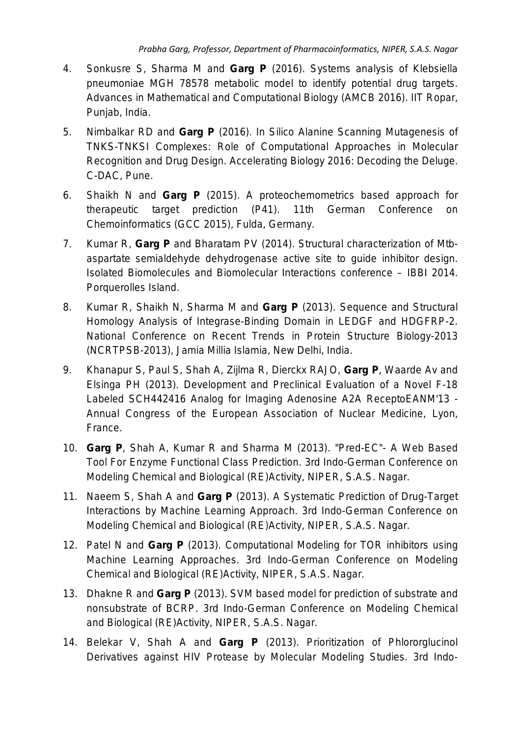- 4. Sonkusre S, Sharma M and **Garg P** (2016). Systems analysis of Klebsiella pneumoniae MGH 78578 metabolic model to identify potential drug targets. Advances in Mathematical and Computational Biology (AMCB 2016). IIT Ropar, Punjab, India.
- 5. Nimbalkar RD and **Garg P** (2016). In Silico Alanine Scanning Mutagenesis of TNKS-TNKSI Complexes: Role of Computational Approaches in Molecular Recognition and Drug Design. Accelerating Biology 2016: Decoding the Deluge. C-DAC, Pune.
- 6. Shaikh N and **Garg P** (2015). A proteochemometrics based approach for therapeutic target prediction (P41). 11th German Conference on Chemoinformatics (GCC 2015), Fulda, Germany.
- 7. Kumar R, **Garg P** and Bharatam PV (2014). Structural characterization of Mtbaspartate semialdehyde dehydrogenase active site to guide inhibitor design. Isolated Biomolecules and Biomolecular Interactions conference – IBBI 2014. Porquerolles Island.
- 8. Kumar R, Shaikh N, Sharma M and **Garg P** (2013). Sequence and Structural Homology Analysis of Integrase-Binding Domain in LEDGF and HDGFRP-2. National Conference on Recent Trends in Protein Structure Biology-2013 (NCRTPSB-2013), Jamia Millia Islamia, New Delhi, India.
- 9. Khanapur S, Paul S, Shah A, Zijlma R, Dierckx RAJO, **Garg P**, Waarde Av and Elsinga PH (2013). Development and Preclinical Evaluation of a Novel F-18 Labeled SCH442416 Analog for Imaging Adenosine A2A ReceptoEANM'13 - Annual Congress of the European Association of Nuclear Medicine, Lyon, France.
- 10. **Garg P**, Shah A, Kumar R and Sharma M (2013). "Pred-EC"- A Web Based Tool For Enzyme Functional Class Prediction. 3rd Indo-German Conference on Modeling Chemical and Biological (RE)Activity, NIPER, S.A.S. Nagar.
- 11. Naeem S, Shah A and **Garg P** (2013). A Systematic Prediction of Drug-Target Interactions by Machine Learning Approach. 3rd Indo-German Conference on Modeling Chemical and Biological (RE)Activity, NIPER, S.A.S. Nagar.
- 12. Patel N and **Garg P** (2013). Computational Modeling for TOR inhibitors using Machine Learning Approaches. 3rd Indo-German Conference on Modeling Chemical and Biological (RE)Activity, NIPER, S.A.S. Nagar.
- 13. Dhakne R and **Garg P** (2013). SVM based model for prediction of substrate and nonsubstrate of BCRP. 3rd Indo-German Conference on Modeling Chemical and Biological (RE)Activity, NIPER, S.A.S. Nagar.
- 14. Belekar V, Shah A and **Garg P** (2013). Prioritization of Phlororglucinol Derivatives against HIV Protease by Molecular Modeling Studies. 3rd Indo-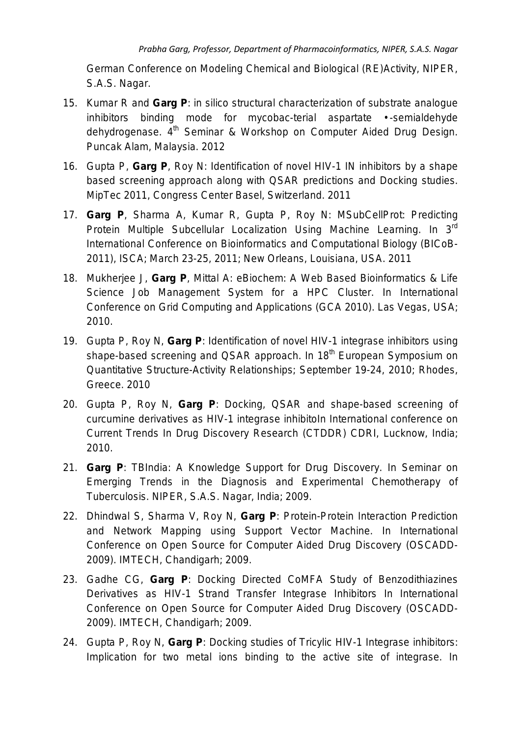German Conference on Modeling Chemical and Biological (RE)Activity, NIPER, S.A.S. Nagar.

- 15. Kumar R and **Garg P**: *in silico* structural characterization of substrate analogue inhibitors binding mode for mycobac-terial aspartate • -semialdehyde dehydrogenase. 4<sup>th</sup> Seminar & Workshop on Computer Aided Drug Design. Puncak Alam, Malaysia. 2012
- 16. Gupta P, **Garg P**, Roy N: Identification of novel HIV-1 IN inhibitors by a shape based screening approach along with QSAR predictions and Docking studies. MipTec 2011, Congress Center Basel, Switzerland. 2011
- 17. **Garg P**, Sharma A, Kumar R, Gupta P, Roy N: MSubCellProt: Predicting Protein Multiple Subcellular Localization Using Machine Learning. In 3rd International Conference on Bioinformatics and Computational Biology (BICoB-2011), ISCA; March 23-25, 2011; New Orleans, Louisiana, USA. 2011
- 18. Mukherjee J, **Garg P**, Mittal A: e*Biochem*: A Web Based Bioinformatics & Life Science Job Management System for a HPC Cluster. In International Conference on Grid Computing and Applications (GCA 2010). Las Vegas, USA; 2010.
- 19. Gupta P, Roy N, **Garg P**: Identification of novel HIV-1 integrase inhibitors using shape-based screening and QSAR approach. In 18<sup>th</sup> European Symposium on Quantitative Structure-Activity Relationships; September 19-24, 2010; Rhodes, Greece. 2010
- 20. Gupta P, Roy N, **Garg P**: Docking, QSAR and shape-based screening of curcumine derivatives as HIV-1 integrase inhibitoIn International conference on Current Trends In Drug Discovery Research (CTDDR) CDRI, Lucknow, India; 2010.
- 21. **Garg P**: TBIndia: A Knowledge Support for Drug Discovery. In Seminar on Emerging Trends in the Diagnosis and Experimental Chemotherapy of Tuberculosis. NIPER, S.A.S. Nagar, India; 2009.
- 22. Dhindwal S, Sharma V, Roy N, **Garg P**: Protein-Protein Interaction Prediction and Network Mapping using Support Vector Machine. In International Conference on Open Source for Computer Aided Drug Discovery (OSCADD-2009). IMTECH, Chandigarh; 2009.
- 23. Gadhe CG, **Garg P**: Docking Directed CoMFA Study of Benzodithiazines Derivatives as HIV-1 Strand Transfer Integrase Inhibitors In International Conference on Open Source for Computer Aided Drug Discovery (OSCADD-2009). IMTECH, Chandigarh; 2009.
- 24. Gupta P, Roy N, **Garg P**: Docking studies of Tricylic HIV-1 Integrase inhibitors: Implication for two metal ions binding to the active site of integrase. In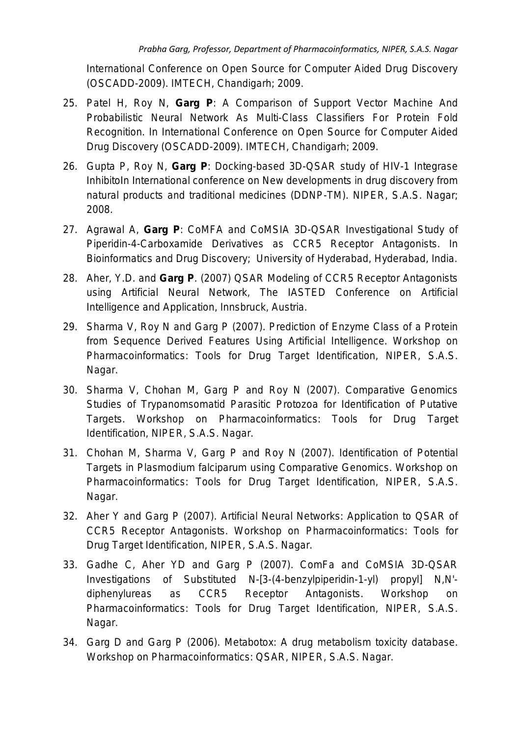International Conference on Open Source for Computer Aided Drug Discovery (OSCADD-2009). IMTECH, Chandigarh; 2009.

- 25. Patel H, Roy N, **Garg P**: A Comparison of Support Vector Machine And Probabilistic Neural Network As Multi-Class Classifiers For Protein Fold Recognition. In International Conference on Open Source for Computer Aided Drug Discovery (OSCADD-2009). IMTECH, Chandigarh; 2009.
- 26. Gupta P, Roy N, **Garg P**: Docking-based 3D-QSAR study of HIV-1 Integrase InhibitoIn International conference on New developments in drug discovery from natural products and traditional medicines (DDNP-TM). NIPER, S.A.S. Nagar; 2008.
- 27. Agrawal A, **Garg P**: CoMFA and CoMSIA 3D-QSAR Investigational Study of Piperidin-4-Carboxamide Derivatives as CCR5 Receptor Antagonists. In Bioinformatics and Drug Discovery; University of Hyderabad, Hyderabad, India.
- 28. Aher, Y.D. and **Garg P**. (2007) QSAR Modeling of CCR5 Receptor Antagonists using Artificial Neural Network, The IASTED Conference on Artificial Intelligence and Application, Innsbruck, Austria.
- 29. Sharma V, Roy N and Garg P (2007). Prediction of Enzyme Class of a Protein from Sequence Derived Features Using Artificial Intelligence. Workshop on Pharmacoinformatics: Tools for Drug Target Identification, NIPER, S.A.S. Nagar.
- 30. Sharma V, Chohan M, Garg P and Roy N (2007). Comparative Genomics Studies of Trypanomsomatid Parasitic Protozoa for Identification of Putative Targets. Workshop on Pharmacoinformatics: Tools for Drug Target Identification, NIPER, S.A.S. Nagar.
- 31. Chohan M, Sharma V, Garg P and Roy N (2007). Identification of Potential Targets in Plasmodium falciparum using Comparative Genomics. Workshop on Pharmacoinformatics: Tools for Drug Target Identification, NIPER, S.A.S. Nagar.
- 32. Aher Y and Garg P (2007). Artificial Neural Networks: Application to QSAR of CCR5 Receptor Antagonists. Workshop on Pharmacoinformatics: Tools for Drug Target Identification, NIPER, S.A.S. Nagar.
- 33. Gadhe C, Aher YD and Garg P (2007). ComFa and CoMSIA 3D-QSAR Investigations of Substituted N-[3-(4-benzylpiperidin-1-yl) propyl] N,N' diphenylureas as CCR5 Receptor Antagonists. Workshop on Pharmacoinformatics: Tools for Drug Target Identification, NIPER, S.A.S. Nagar.
- 34. Garg D and Garg P (2006). Metabotox: A drug metabolism toxicity database. Workshop on Pharmacoinformatics: QSAR, NIPER, S.A.S. Nagar.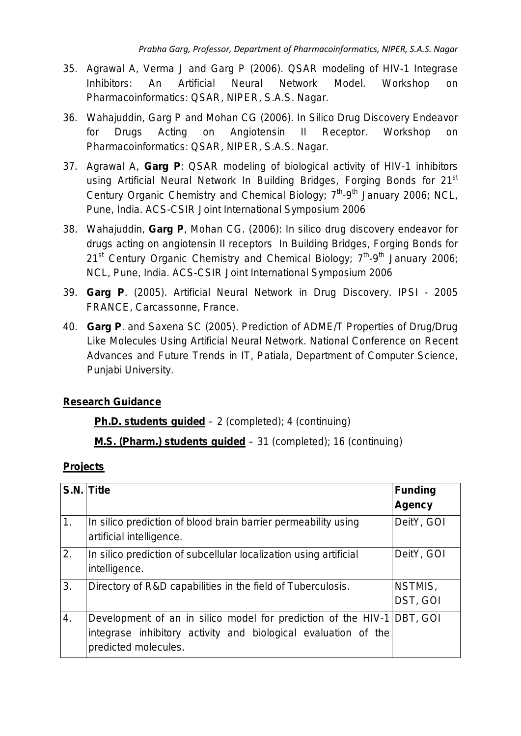- 35. Agrawal A, Verma J and Garg P (2006). QSAR modeling of HIV-1 Integrase Inhibitors: An Artificial Neural Network Model. Workshop on Pharmacoinformatics: QSAR, NIPER, S.A.S. Nagar.
- 36. Wahajuddin, Garg P and Mohan CG (2006). In Silico Drug Discovery Endeavor for Drugs Acting on Angiotensin II Receptor. Workshop on Pharmacoinformatics: QSAR, NIPER, S.A.S. Nagar.
- 37. Agrawal A, **Garg P**: QSAR modeling of biological activity of HIV-1 inhibitors using Artificial Neural Network In Building Bridges, Forging Bonds for 21<sup>st</sup> Century Organic Chemistry and Chemical Biology; 7<sup>th</sup>-9<sup>th</sup> January 2006: NCL. Pune, India. ACS-CSIR Joint International Symposium 2006
- 38. Wahajuddin, **Garg P**, Mohan CG. (2006): *In silico* drug discovery endeavor for drugs acting on angiotensin II receptors In Building Bridges, Forging Bonds for  $21^{st}$  Century Organic Chemistry and Chemical Biology;  $7^{th}$ -9<sup>th</sup> January 2006; NCL, Pune, India. ACS-CSIR Joint International Symposium 2006
- 39. **Garg P**. (2005). Artificial Neural Network in Drug Discovery. IPSI 2005 FRANCE, Carcassonne, France.
- 40. **Garg P**. and Saxena SC (2005). Prediction of ADME/T Properties of Drug/Drug Like Molecules Using Artificial Neural Network. National Conference on Recent Advances and Future Trends in IT, Patiala, Department of Computer Science, Punjabi University.

# **Research Guidance**

# **Ph.D. students guided** – 2 (completed); 4 (continuing)

**M.S. (Pharm.) students guided** – 31 (completed); 16 (continuing)

# **Projects**

|                  | S.N. Title                                                                                                                                                       | <b>Funding</b><br><b>Agency</b> |
|------------------|------------------------------------------------------------------------------------------------------------------------------------------------------------------|---------------------------------|
| 1.               | In silico prediction of blood brain barrier permeability using<br>artificial intelligence.                                                                       | DeitY, GOI                      |
| 2.               | In silico prediction of subcellular localization using artificial<br>intelligence.                                                                               | DeitY, GOI                      |
| $\overline{3}$ . | Directory of R&D capabilities in the field of Tuberculosis.                                                                                                      | NSTMIS,<br>DST, GOI             |
| 4.               | Development of an in silico model for prediction of the HIV-1 DBT, GOI<br>integrase inhibitory activity and biological evaluation of the<br>predicted molecules. |                                 |